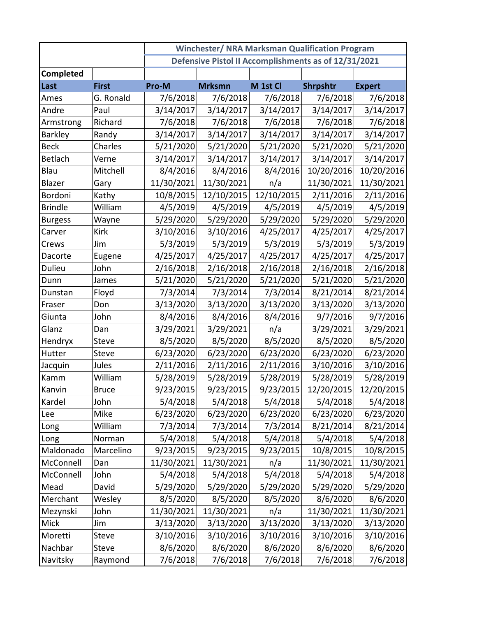|                |              | <b>Winchester/ NRA Marksman Qualification Program</b> |               |            |            |               |  |
|----------------|--------------|-------------------------------------------------------|---------------|------------|------------|---------------|--|
|                |              | Defensive Pistol II Accomplishments as of 12/31/2021  |               |            |            |               |  |
| Completed      |              |                                                       |               |            |            |               |  |
| Last           | <b>First</b> | Pro-M                                                 | <b>Mrksmn</b> | M 1st Cl   | Shrpshtr   | <b>Expert</b> |  |
| Ames           | G. Ronald    | 7/6/2018                                              | 7/6/2018      | 7/6/2018   | 7/6/2018   | 7/6/2018      |  |
| Andre          | Paul         | 3/14/2017                                             | 3/14/2017     | 3/14/2017  | 3/14/2017  | 3/14/2017     |  |
| Armstrong      | Richard      | 7/6/2018                                              | 7/6/2018      | 7/6/2018   | 7/6/2018   | 7/6/2018      |  |
| <b>Barkley</b> | Randy        | 3/14/2017                                             | 3/14/2017     | 3/14/2017  | 3/14/2017  | 3/14/2017     |  |
| <b>Beck</b>    | Charles      | 5/21/2020                                             | 5/21/2020     | 5/21/2020  | 5/21/2020  | 5/21/2020     |  |
| <b>Betlach</b> | Verne        | 3/14/2017                                             | 3/14/2017     | 3/14/2017  | 3/14/2017  | 3/14/2017     |  |
| Blau           | Mitchell     | 8/4/2016                                              | 8/4/2016      | 8/4/2016   | 10/20/2016 | 10/20/2016    |  |
| Blazer         | Gary         | 11/30/2021                                            | 11/30/2021    | n/a        | 11/30/2021 | 11/30/2021    |  |
| Bordoni        | Kathy        | 10/8/2015                                             | 12/10/2015    | 12/10/2015 | 2/11/2016  | 2/11/2016     |  |
| <b>Brindle</b> | William      | 4/5/2019                                              | 4/5/2019      | 4/5/2019   | 4/5/2019   | 4/5/2019      |  |
| <b>Burgess</b> | Wayne        | 5/29/2020                                             | 5/29/2020     | 5/29/2020  | 5/29/2020  | 5/29/2020     |  |
| Carver         | <b>Kirk</b>  | 3/10/2016                                             | 3/10/2016     | 4/25/2017  | 4/25/2017  | 4/25/2017     |  |
| Crews          | Jim          | 5/3/2019                                              | 5/3/2019      | 5/3/2019   | 5/3/2019   | 5/3/2019      |  |
| Dacorte        | Eugene       | 4/25/2017                                             | 4/25/2017     | 4/25/2017  | 4/25/2017  | 4/25/2017     |  |
| Dulieu         | John         | 2/16/2018                                             | 2/16/2018     | 2/16/2018  | 2/16/2018  | 2/16/2018     |  |
| Dunn           | James        | 5/21/2020                                             | 5/21/2020     | 5/21/2020  | 5/21/2020  | 5/21/2020     |  |
| Dunstan        | Floyd        | 7/3/2014                                              | 7/3/2014      | 7/3/2014   | 8/21/2014  | 8/21/2014     |  |
| Fraser         | Don          | 3/13/2020                                             | 3/13/2020     | 3/13/2020  | 3/13/2020  | 3/13/2020     |  |
| Giunta         | John         | 8/4/2016                                              | 8/4/2016      | 8/4/2016   | 9/7/2016   | 9/7/2016      |  |
| Glanz          | Dan          | 3/29/2021                                             | 3/29/2021     | n/a        | 3/29/2021  | 3/29/2021     |  |
| Hendryx        | Steve        | 8/5/2020                                              | 8/5/2020      | 8/5/2020   | 8/5/2020   | 8/5/2020      |  |
| Hutter         | Steve        | 6/23/2020                                             | 6/23/2020     | 6/23/2020  | 6/23/2020  | 6/23/2020     |  |
| Jacquin        | Jules        | 2/11/2016                                             | 2/11/2016     | 2/11/2016  | 3/10/2016  | 3/10/2016     |  |
| Kamm           | William      | 5/28/2019                                             | 5/28/2019     | 5/28/2019  | 5/28/2019  | 5/28/2019     |  |
| Kanvin         | <b>Bruce</b> | 9/23/2015                                             | 9/23/2015     | 9/23/2015  | 12/20/2015 | 12/20/2015    |  |
| Kardel         | John         | 5/4/2018                                              | 5/4/2018      | 5/4/2018   | 5/4/2018   | 5/4/2018      |  |
| Lee            | Mike         | 6/23/2020                                             | 6/23/2020     | 6/23/2020  | 6/23/2020  | 6/23/2020     |  |
| Long           | William      | 7/3/2014                                              | 7/3/2014      | 7/3/2014   | 8/21/2014  | 8/21/2014     |  |
| Long           | Norman       | 5/4/2018                                              | 5/4/2018      | 5/4/2018   | 5/4/2018   | 5/4/2018      |  |
| Maldonado      | Marcelino    | 9/23/2015                                             | 9/23/2015     | 9/23/2015  | 10/8/2015  | 10/8/2015     |  |
| McConnell      | Dan          | 11/30/2021                                            | 11/30/2021    | n/a        | 11/30/2021 | 11/30/2021    |  |
| McConnell      | John         | 5/4/2018                                              | 5/4/2018      | 5/4/2018   | 5/4/2018   | 5/4/2018      |  |
| Mead           | David        | 5/29/2020                                             | 5/29/2020     | 5/29/2020  | 5/29/2020  | 5/29/2020     |  |
| Merchant       | Wesley       | 8/5/2020                                              | 8/5/2020      | 8/5/2020   | 8/6/2020   | 8/6/2020      |  |
| Mezynski       | John         | 11/30/2021                                            | 11/30/2021    | n/a        | 11/30/2021 | 11/30/2021    |  |
| Mick           | Jim          | 3/13/2020                                             | 3/13/2020     | 3/13/2020  | 3/13/2020  | 3/13/2020     |  |
| Moretti        | Steve        | 3/10/2016                                             | 3/10/2016     | 3/10/2016  | 3/10/2016  | 3/10/2016     |  |
| Nachbar        | Steve        | 8/6/2020                                              | 8/6/2020      | 8/6/2020   | 8/6/2020   | 8/6/2020      |  |
| Navitsky       | Raymond      | 7/6/2018                                              | 7/6/2018      | 7/6/2018   | 7/6/2018   | 7/6/2018      |  |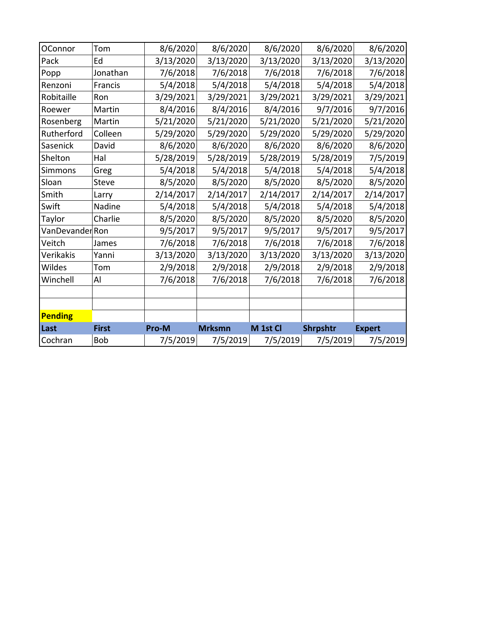| OConnor         | Tom          | 8/6/2020  | 8/6/2020      | 8/6/2020  | 8/6/2020  | 8/6/2020      |
|-----------------|--------------|-----------|---------------|-----------|-----------|---------------|
| Pack            | Ed           | 3/13/2020 | 3/13/2020     | 3/13/2020 | 3/13/2020 | 3/13/2020     |
| Popp            | Jonathan     | 7/6/2018  | 7/6/2018      | 7/6/2018  | 7/6/2018  | 7/6/2018      |
| Renzoni         | Francis      | 5/4/2018  | 5/4/2018      | 5/4/2018  | 5/4/2018  | 5/4/2018      |
| Robitaille      | Ron          | 3/29/2021 | 3/29/2021     | 3/29/2021 | 3/29/2021 | 3/29/2021     |
| Roewer          | Martin       | 8/4/2016  | 8/4/2016      | 8/4/2016  | 9/7/2016  | 9/7/2016      |
| Rosenberg       | Martin       | 5/21/2020 | 5/21/2020     | 5/21/2020 | 5/21/2020 | 5/21/2020     |
| Rutherford      | Colleen      | 5/29/2020 | 5/29/2020     | 5/29/2020 | 5/29/2020 | 5/29/2020     |
| Sasenick        | David        | 8/6/2020  | 8/6/2020      | 8/6/2020  | 8/6/2020  | 8/6/2020      |
| Shelton         | Hal          | 5/28/2019 | 5/28/2019     | 5/28/2019 | 5/28/2019 | 7/5/2019      |
| Simmons         | Greg         | 5/4/2018  | 5/4/2018      | 5/4/2018  | 5/4/2018  | 5/4/2018      |
| Sloan           | Steve        | 8/5/2020  | 8/5/2020      | 8/5/2020  | 8/5/2020  | 8/5/2020      |
| Smith           | Larry        | 2/14/2017 | 2/14/2017     | 2/14/2017 | 2/14/2017 | 2/14/2017     |
| Swift           | Nadine       | 5/4/2018  | 5/4/2018      | 5/4/2018  | 5/4/2018  | 5/4/2018      |
| Taylor          | Charlie      | 8/5/2020  | 8/5/2020      | 8/5/2020  | 8/5/2020  | 8/5/2020      |
| VanDevander Ron |              | 9/5/2017  | 9/5/2017      | 9/5/2017  | 9/5/2017  | 9/5/2017      |
| Veitch          | James        | 7/6/2018  | 7/6/2018      | 7/6/2018  | 7/6/2018  | 7/6/2018      |
| Verikakis       | Yanni        | 3/13/2020 | 3/13/2020     | 3/13/2020 | 3/13/2020 | 3/13/2020     |
| Wildes          | Tom          | 2/9/2018  | 2/9/2018      | 2/9/2018  | 2/9/2018  | 2/9/2018      |
| Winchell        | Al           | 7/6/2018  | 7/6/2018      | 7/6/2018  | 7/6/2018  | 7/6/2018      |
|                 |              |           |               |           |           |               |
|                 |              |           |               |           |           |               |
| Pending         |              |           |               |           |           |               |
| Last            | <b>First</b> | Pro-M     | <b>Mrksmn</b> | M 1st Cl  | Shrpshtr  | <b>Expert</b> |
| Cochran         | Bob          | 7/5/2019  | 7/5/2019      | 7/5/2019  | 7/5/2019  | 7/5/2019      |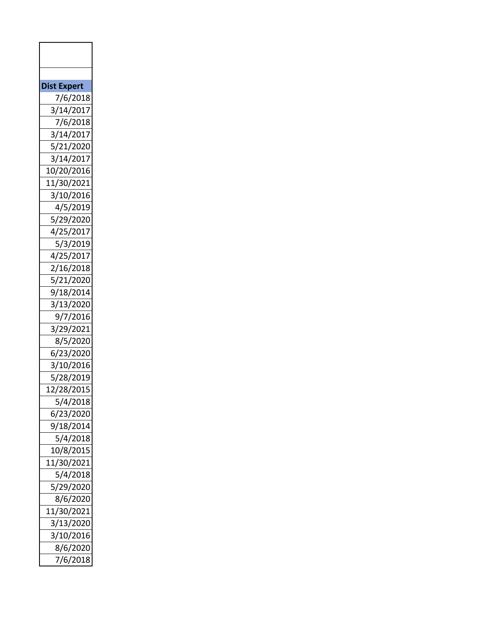| <b>Dist Expert</b> |
|--------------------|
| 7/6/2018           |
| 3/14/2017          |
| 7/6/2018           |
| 3/14/2017          |
| 5/21/2020          |
| 3/14/2017          |
| 10/20/2016         |
| 11/30/2021         |
| 3/10/2016          |
| 4/5/2019           |
| 5/29/2020          |
| 4/25/2017          |
| 5/3/2019           |
| 4/25/2017          |
| 2/16/2018          |
| 5/21/2020          |
| 9/18/2014          |
| 3/13/2020          |
| 9/7/2016           |
| 3/29/2021          |
| 8/5/2020           |
| 6/23/2020          |
| 3/10/2016          |
| 5/28/2019          |
| 12/28/2015         |
| 5/4/2018           |
| 6/23/2020          |
| 9/18/2014          |
| 5/4/2018           |
| 10/8/2015          |
| 11/30/2021         |
| 5/4/2018           |
| 5/29/2020          |
| 8/6/2020           |
| 11/30/2021         |
| 3/13/2020          |
| 3/10/2016          |
| 8/6/2020           |
| 7/6/2018           |